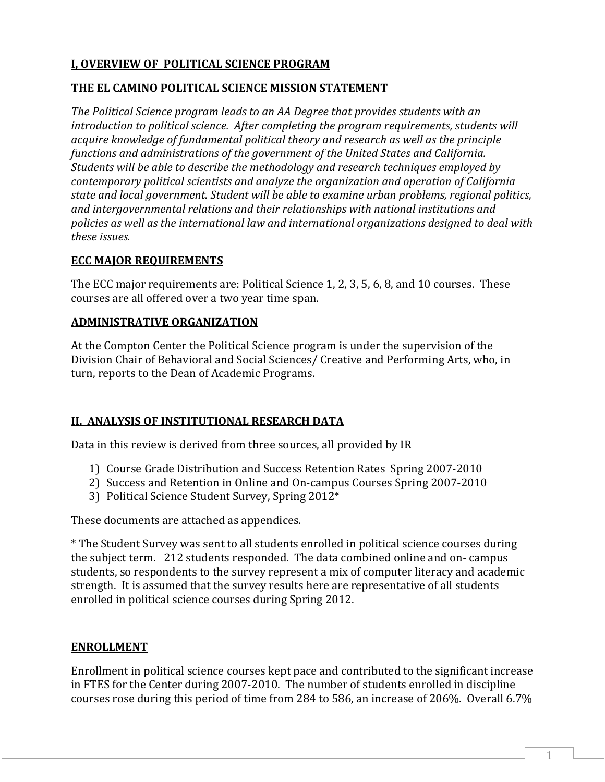### **I, OVERVIEW OF POLITICAL SCIENCE PROGRAM**

#### **THE EL CAMINO POLITICAL SCIENCE MISSION STATEMENT**

*The Political Science program leads to an AA Degree that provides students with an introduction to political science. After completing the program requirements, students will acquire knowledge of fundamental political theory and research as well as the principle functions and administrations of the government of the United States and California. Students will be able to describe the methodology and research techniques employed by contemporary political scientists and analyze the organization and operation of California state and local government. Student will be able to examine urban problems, regional politics, and intergovernmental relations and their relationships with national institutions and policies as well as the international law and international organizations designed to deal with these issues.* 

#### **ECC MAJOR REQUIREMENTS**

The ECC major requirements are: Political Science 1, 2, 3, 5, 6, 8, and 10 courses. These courses are all offered over a two year time span.

### **ADMINISTRATIVE ORGANIZATION**

At the Compton Center the Political Science program is under the supervision of the Division Chair of Behavioral and Social Sciences/ Creative and Performing Arts, who, in turn, reports to the Dean of Academic Programs.

## **II, ANALYSIS OF INSTITUTIONAL RESEARCH DATA**

Data in this review is derived from three sources, all provided by IR

- 1) Course Grade Distribution and Success Retention Rates Spring 2007-2010
- 2) Success and Retention in Online and On-campus Courses Spring 2007-2010
- 3) Political Science Student Survey, Spring 2012\*

These documents are attached as appendices.

\* The Student Survey was sent to all students enrolled in political science courses during the subject term. 212 students responded. The data combined online and on- campus students, so respondents to the survey represent a mix of computer literacy and academic strength. It is assumed that the survey results here are representative of all students enrolled in political science courses during Spring 2012.

## **ENROLLMENT**

Enrollment in political science courses kept pace and contributed to the significant increase in FTES for the Center during 2007-2010. The number of students enrolled in discipline courses rose during this period of time from 284 to 586, an increase of 206%. Overall 6.7%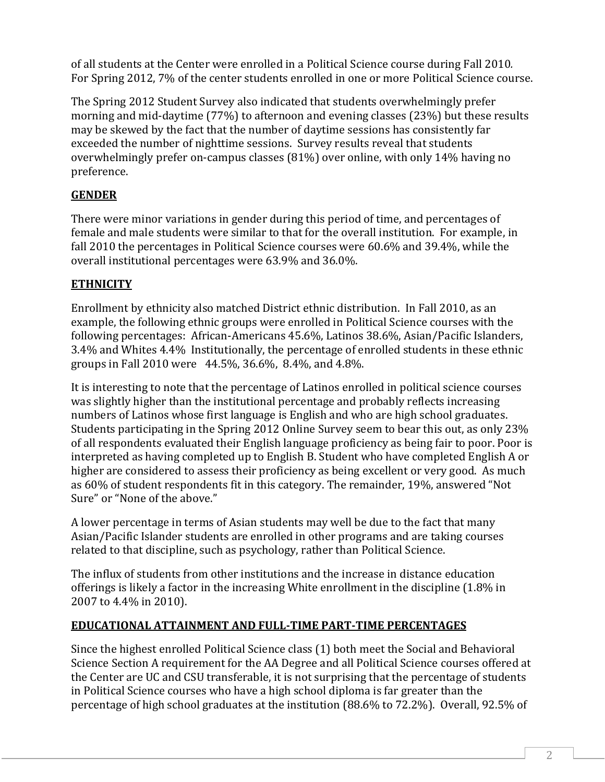of all students at the Center were enrolled in a Political Science course during Fall 2010*.* For Spring 2012, 7% of the center students enrolled in one or more Political Science course.

The Spring 2012 Student Survey also indicated that students overwhelmingly prefer morning and mid-daytime (77%) to afternoon and evening classes (23%) but these results may be skewed by the fact that the number of daytime sessions has consistently far exceeded the number of nighttime sessions. Survey results reveal that students overwhelmingly prefer on-campus classes (81%) over online, with only 14% having no preference.

# **GENDER**

There were minor variations in gender during this period of time, and percentages of female and male students were similar to that for the overall institution. For example, in fall 2010 the percentages in Political Science courses were 60.6% and 39.4%, while the overall institutional percentages were 63.9% and 36.0%.

# **ETHNICITY**

Enrollment by ethnicity also matched District ethnic distribution. In Fall 2010, as an example, the following ethnic groups were enrolled in Political Science courses with the following percentages: African-Americans 45.6%, Latinos 38.6%, Asian/Pacific Islanders, 3.4% and Whites 4.4% Institutionally, the percentage of enrolled students in these ethnic groups in Fall 2010 were 44.5%, 36.6%, 8.4%, and 4.8%.

It is interesting to note that the percentage of Latinos enrolled in political science courses was slightly higher than the institutional percentage and probably reflects increasing numbers of Latinos whose first language is English and who are high school graduates. Students participating in the Spring 2012 Online Survey seem to bear this out, as only 23% of all respondents evaluated their English language proficiency as being fair to poor. Poor is interpreted as having completed up to English B. Student who have completed English A or higher are considered to assess their proficiency as being excellent or very good. As much as 60% of student respondents fit in this category. The remainder, 19%, answered "Not Sure" or "None of the above."

A lower percentage in terms of Asian students may well be due to the fact that many Asian/Pacific Islander students are enrolled in other programs and are taking courses related to that discipline, such as psychology, rather than Political Science.

The influx of students from other institutions and the increase in distance education offerings is likely a factor in the increasing White enrollment in the discipline (1.8% in 2007 to 4.4% in 2010).

## **EDUCATIONAL ATTAINMENT AND FULL-TIME PART-TIME PERCENTAGES**

Since the highest enrolled Political Science class (1) both meet the Social and Behavioral Science Section A requirement for the AA Degree and all Political Science courses offered at the Center are UC and CSU transferable, it is not surprising that the percentage of students in Political Science courses who have a high school diploma is far greater than the percentage of high school graduates at the institution (88.6% to 72.2%). Overall, 92.5% of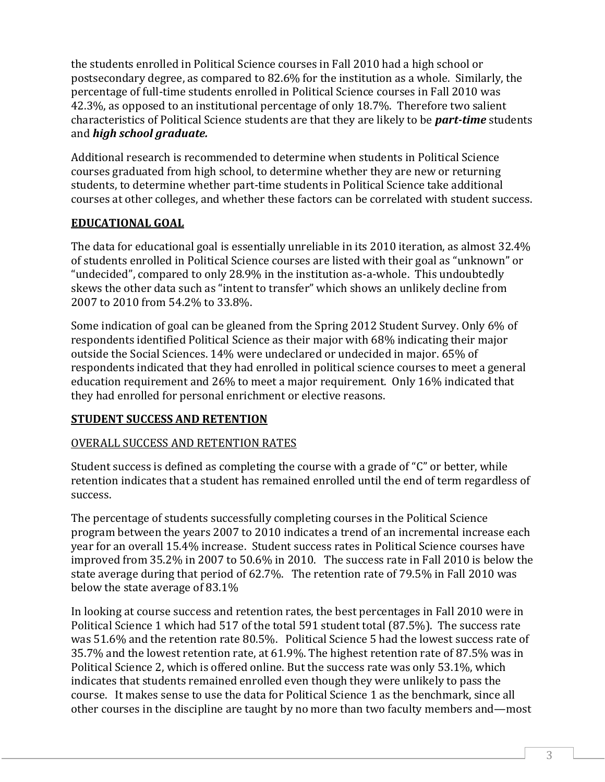the students enrolled in Political Science courses in Fall 2010 had a high school or postsecondary degree, as compared to 82.6% for the institution as a whole. Similarly, the percentage of full-time students enrolled in Political Science courses in Fall 2010 was 42.3%, as opposed to an institutional percentage of only 18.7%. Therefore two salient characteristics of Political Science students are that they are likely to be *part-time* students and *high school graduate.*

Additional research is recommended to determine when students in Political Science courses graduated from high school, to determine whether they are new or returning students, to determine whether part-time students in Political Science take additional courses at other colleges, and whether these factors can be correlated with student success.

# **EDUCATIONAL GOAL**

The data for educational goal is essentially unreliable in its 2010 iteration, as almost 32.4% of students enrolled in Political Science courses are listed with their goal as "unknown" or "undecided", compared to only 28.9% in the institution as-a-whole. This undoubtedly skews the other data such as "intent to transfer" which shows an unlikely decline from 2007 to 2010 from 54.2% to 33.8%.

Some indication of goal can be gleaned from the Spring 2012 Student Survey. Only 6% of respondents identified Political Science as their major with 68% indicating their major outside the Social Sciences. 14% were undeclared or undecided in major. 65% of respondents indicated that they had enrolled in political science courses to meet a general education requirement and 26% to meet a major requirement. Only 16% indicated that they had enrolled for personal enrichment or elective reasons.

## **STUDENT SUCCESS AND RETENTION**

#### OVERALL SUCCESS AND RETENTION RATES

Student success is defined as completing the course with a grade of "C" or better, while retention indicates that a student has remained enrolled until the end of term regardless of success.

The percentage of students successfully completing courses in the Political Science program between the years 2007 to 2010 indicates a trend of an incremental increase each year for an overall 15.4% increase. Student success rates in Political Science courses have improved from 35.2% in 2007 to 50.6% in 2010. The success rate in Fall 2010 is below the state average during that period of 62.7%. The retention rate of 79.5% in Fall 2010 was below the state average of 83.1%

In looking at course success and retention rates, the best percentages in Fall 2010 were in Political Science 1 which had 517 of the total 591 student total (87.5%). The success rate was 51.6% and the retention rate 80.5%. Political Science 5 had the lowest success rate of 35.7% and the lowest retention rate, at 61.9%. The highest retention rate of 87.5% was in Political Science 2, which is offered online. But the success rate was only 53.1%, which indicates that students remained enrolled even though they were unlikely to pass the course. It makes sense to use the data for Political Science 1 as the benchmark, since all other courses in the discipline are taught by no more than two faculty members and—most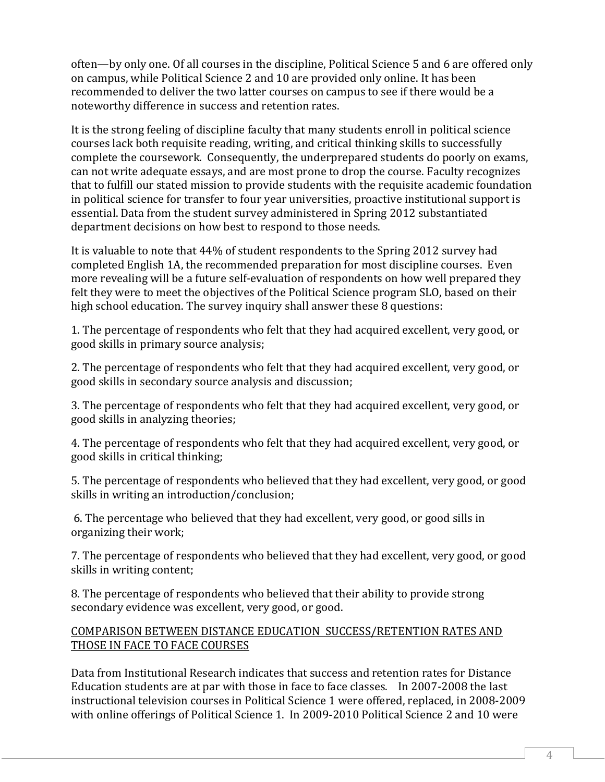often—by only one. Of all courses in the discipline, Political Science 5 and 6 are offered only on campus, while Political Science 2 and 10 are provided only online. It has been recommended to deliver the two latter courses on campus to see if there would be a noteworthy difference in success and retention rates.

It is the strong feeling of discipline faculty that many students enroll in political science courses lack both requisite reading, writing, and critical thinking skills to successfully complete the coursework. Consequently, the underprepared students do poorly on exams, can not write adequate essays, and are most prone to drop the course. Faculty recognizes that to fulfill our stated mission to provide students with the requisite academic foundation in political science for transfer to four year universities, proactive institutional support is essential. Data from the student survey administered in Spring 2012 substantiated department decisions on how best to respond to those needs.

It is valuable to note that 44% of student respondents to the Spring 2012 survey had completed English 1A, the recommended preparation for most discipline courses. Even more revealing will be a future self-evaluation of respondents on how well prepared they felt they were to meet the objectives of the Political Science program SLO, based on their high school education. The survey inquiry shall answer these 8 questions:

1. The percentage of respondents who felt that they had acquired excellent, very good, or good skills in primary source analysis;

2. The percentage of respondents who felt that they had acquired excellent, very good, or good skills in secondary source analysis and discussion;

3. The percentage of respondents who felt that they had acquired excellent, very good, or good skills in analyzing theories;

4. The percentage of respondents who felt that they had acquired excellent, very good, or good skills in critical thinking;

5. The percentage of respondents who believed that they had excellent, very good, or good skills in writing an introduction/conclusion;

6. The percentage who believed that they had excellent, very good, or good sills in organizing their work;

7. The percentage of respondents who believed that they had excellent, very good, or good skills in writing content;

8. The percentage of respondents who believed that their ability to provide strong secondary evidence was excellent, very good, or good.

### COMPARISON BETWEEN DISTANCE EDUCATION SUCCESS/RETENTION RATES AND THOSE IN FACE TO FACE COURSES

Data from Institutional Research indicates that success and retention rates for Distance Education students are at par with those in face to face classes. In 2007-2008 the last instructional television courses in Political Science 1 were offered, replaced, in 2008-2009 with online offerings of Political Science 1. In 2009-2010 Political Science 2 and 10 were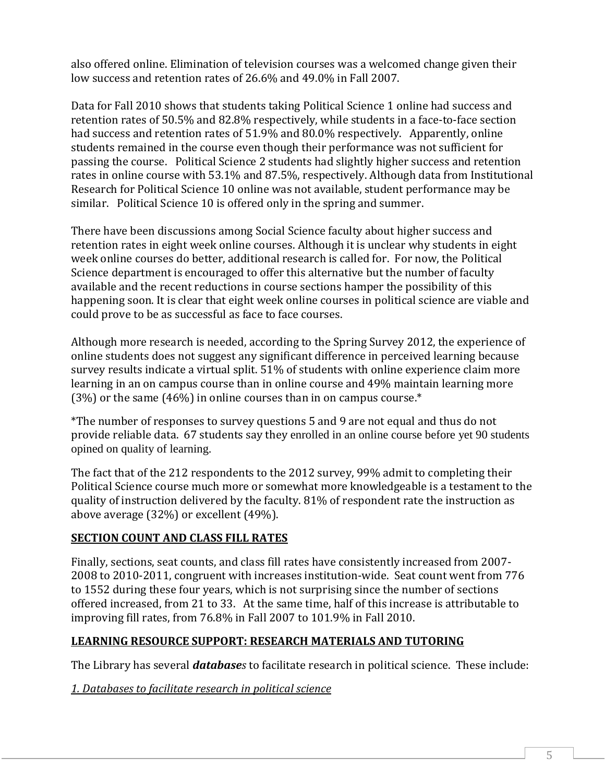also offered online. Elimination of television courses was a welcomed change given their low success and retention rates of 26.6% and 49.0% in Fall 2007.

Data for Fall 2010 shows that students taking Political Science 1 online had success and retention rates of 50.5% and 82.8% respectively, while students in a face-to-face section had success and retention rates of 51.9% and 80.0% respectively. Apparently, online students remained in the course even though their performance was not sufficient for passing the course. Political Science 2 students had slightly higher success and retention rates in online course with 53.1% and 87.5%, respectively. Although data from Institutional Research for Political Science 10 online was not available, student performance may be similar. Political Science 10 is offered only in the spring and summer.

There have been discussions among Social Science faculty about higher success and retention rates in eight week online courses. Although it is unclear why students in eight week online courses do better, additional research is called for. For now, the Political Science department is encouraged to offer this alternative but the number of faculty available and the recent reductions in course sections hamper the possibility of this happening soon. It is clear that eight week online courses in political science are viable and could prove to be as successful as face to face courses.

Although more research is needed, according to the Spring Survey 2012, the experience of online students does not suggest any significant difference in perceived learning because survey results indicate a virtual split. 51% of students with online experience claim more learning in an on campus course than in online course and 49% maintain learning more  $(3%)$  or the same  $(46%)$  in online courses than in on campus course.\*

\*The number of responses to survey questions 5 and 9 are not equal and thus do not provide reliable data. 67 students say they enrolled in an online course before yet 90 students opined on quality of learning.

The fact that of the 212 respondents to the 2012 survey, 99% admit to completing their Political Science course much more or somewhat more knowledgeable is a testament to the quality of instruction delivered by the faculty. 81% of respondent rate the instruction as above average (32%) or excellent (49%).

## **SECTION COUNT AND CLASS FILL RATES**

Finally, sections, seat counts, and class fill rates have consistently increased from 2007- 2008 to 2010-2011, congruent with increases institution-wide. Seat count went from 776 to 1552 during these four years, which is not surprising since the number of sections offered increased, from 21 to 33. At the same time, half of this increase is attributable to improving fill rates, from 76.8% in Fall 2007 to 101.9% in Fall 2010.

## **LEARNING RESOURCE SUPPORT: RESEARCH MATERIALS AND TUTORING**

The Library has several *databases* to facilitate research in political science. These include:

*1. Databases to facilitate research in political science*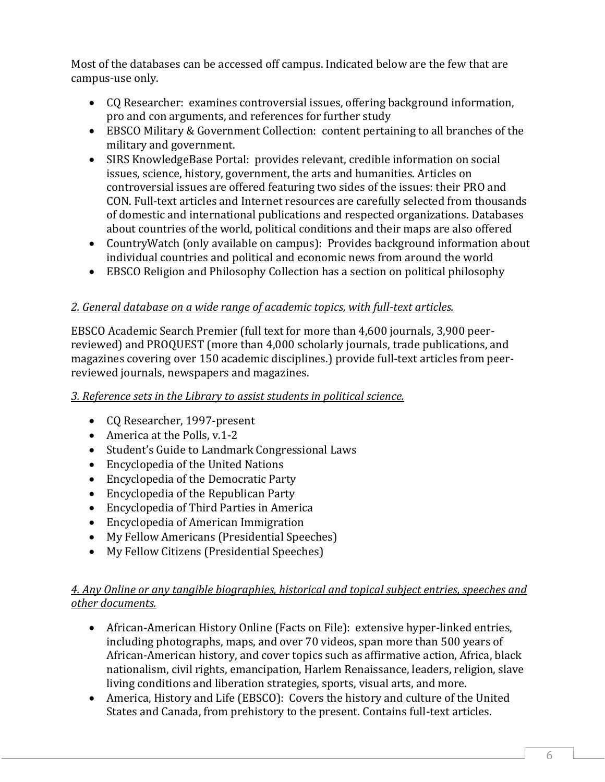Most of the databases can be accessed off campus. Indicated below are the few that are campus-use only.

- CQ Researcher: examines controversial issues, offering background information, pro and con arguments, and references for further study
- EBSCO Military & Government Collection: content pertaining to all branches of the military and government.
- SIRS KnowledgeBase Portal: provides relevant, credible information on social issues, science, history, government, the arts and humanities. Articles on controversial issues are offered featuring two sides of the issues: their PRO and CON. Full-text articles and Internet resources are carefully selected from thousands of domestic and international publications and respected organizations. Databases about countries of the world, political conditions and their maps are also offered
- CountryWatch (only available on campus): Provides background information about individual countries and political and economic news from around the world
- EBSCO Religion and Philosophy Collection has a section on political philosophy

## *2. General database on a wide range of academic topics, with full-text articles.*

EBSCO Academic Search Premier (full text for more than 4,600 journals, 3,900 peerreviewed) and PROQUEST (more than 4,000 scholarly journals, trade publications, and magazines covering over 150 academic disciplines.) provide full-text articles from peerreviewed journals, newspapers and magazines.

## *3. Reference sets in the Library to assist students in political science.*

- CQ Researcher, 1997-present
- America at the Polls, v.1-2
- Student's Guide to Landmark Congressional Laws
- Encyclopedia of the United Nations
- Encyclopedia of the Democratic Party
- Encyclopedia of the Republican Party
- Encyclopedia of Third Parties in America
- Encyclopedia of American Immigration
- My Fellow Americans (Presidential Speeches)
- My Fellow Citizens (Presidential Speeches)

## *4. Any Online or any tangible biographies, historical and topical subject entries, speeches and other documents.*

- African-American History Online (Facts on File): extensive hyper-linked entries, including photographs, maps, and over 70 videos, span more than 500 years of African-American history, and cover topics such as affirmative action, Africa, black nationalism, civil rights, emancipation, Harlem Renaissance, leaders, religion, slave living conditions and liberation strategies, sports, visual arts, and more.
- America, History and Life (EBSCO): Covers the history and culture of the United States and Canada, from prehistory to the present. Contains full-text articles.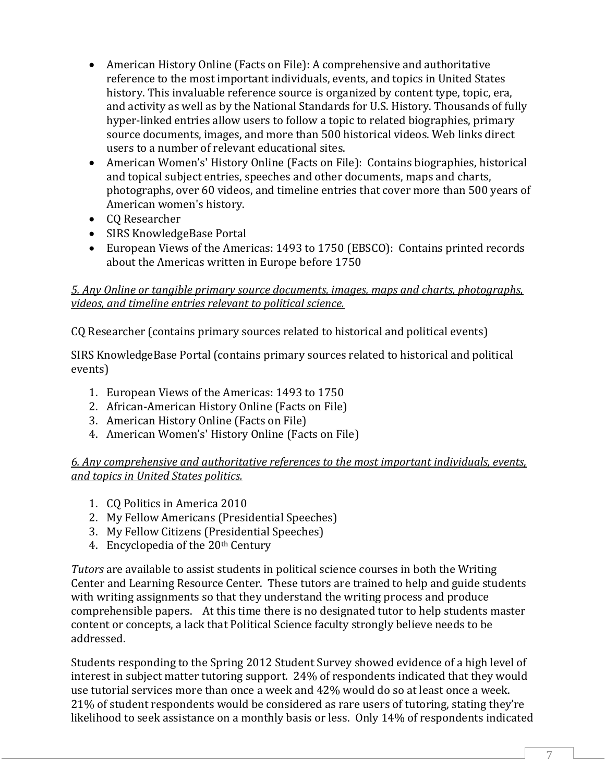- American History Online (Facts on File): A comprehensive and authoritative reference to the most important individuals, events, and topics in United States history. This invaluable reference source is organized by content type, topic, era, and activity as well as by the National Standards for U.S. History. Thousands of fully hyper-linked entries allow users to follow a topic to related biographies, primary source documents, images, and more than 500 historical videos. Web links direct users to a number of relevant educational sites.
- American Women's' History Online (Facts on File): Contains biographies, historical and topical subject entries, speeches and other documents, maps and charts, photographs, over 60 videos, and timeline entries that cover more than 500 years of American women's history.
- CQ Researcher
- SIRS KnowledgeBase Portal
- European Views of the Americas: 1493 to 1750 (EBSCO): Contains printed records about the Americas written in Europe before 1750

### *5. Any Online or tangible primary source documents, images, maps and charts, photographs, videos, and timeline entries relevant to political science.*

CQ Researcher (contains primary sources related to historical and political events)

SIRS KnowledgeBase Portal (contains primary sources related to historical and political events)

- 1. European Views of the Americas: 1493 to 1750
- 2. African-American History Online (Facts on File)
- 3. American History Online (Facts on File)
- 4. American Women's' History Online (Facts on File)

*6. Any comprehensive and authoritative references to the most important individuals, events, and topics in United States politics.* 

- 1. CQ Politics in America 2010
- 2. My Fellow Americans (Presidential Speeches)
- 3. My Fellow Citizens (Presidential Speeches)
- 4. Encyclopedia of the 20<sup>th</sup> Century

*Tutors* are available to assist students in political science courses in both the Writing Center and Learning Resource Center. These tutors are trained to help and guide students with writing assignments so that they understand the writing process and produce comprehensible papers. At this time there is no designated tutor to help students master content or concepts, a lack that Political Science faculty strongly believe needs to be addressed.

Students responding to the Spring 2012 Student Survey showed evidence of a high level of interest in subject matter tutoring support. 24% of respondents indicated that they would use tutorial services more than once a week and 42% would do so at least once a week. 21% of student respondents would be considered as rare users of tutoring, stating they're likelihood to seek assistance on a monthly basis or less. Only 14% of respondents indicated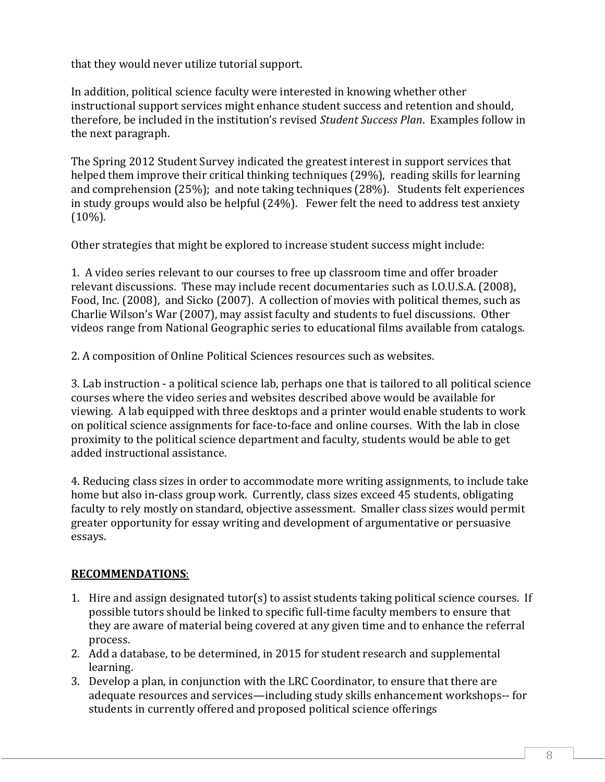that they would never utilize tutorial support.

In addition, political science faculty were interested in knowing whether other instructional support services might enhance student success and retention and should, therefore, be included in the institution's revised *Student Success Plan*. Examples follow in the next paragraph.

The Spring 2012 Student Survey indicated the greatest interest in support services that helped them improve their critical thinking techniques (29%), reading skills for learning and comprehension (25%); and note taking techniques (28%). Students felt experiences in study groups would also be helpful (24%). Fewer felt the need to address test anxiety (10%).

Other strategies that might be explored to increase student success might include:

1. A video series relevant to our courses to free up classroom time and offer broader relevant discussions. These may include recent documentaries such as I.O.U.S.A. (2008), Food, Inc. (2008), and Sicko (2007). A collection of movies with political themes, such as Charlie Wilson's War (2007), may assist faculty and students to fuel discussions. Other videos range from National Geographic series to educational films available from catalogs.

2. A composition of Online Political Sciences resources such as websites.

3. Lab instruction - a political science lab, perhaps one that is tailored to all political science courses where the video series and websites described above would be available for viewing. A lab equipped with three desktops and a printer would enable students to work on political science assignments for face-to-face and online courses. With the lab in close proximity to the political science department and faculty, students would be able to get added instructional assistance.

4. Reducing class sizes in order to accommodate more writing assignments, to include take home but also in-class group work. Currently, class sizes exceed 45 students, obligating faculty to rely mostly on standard, objective assessment. Smaller class sizes would permit greater opportunity for essay writing and development of argumentative or persuasive essays.

## **RECOMMENDATIONS**:

- 1. Hire and assign designated tutor(s) to assist students taking political science courses. If possible tutors should be linked to specific full-time faculty members to ensure that they are aware of material being covered at any given time and to enhance the referral process.
- 2. Add a database, to be determined, in 2015 for student research and supplemental learning.
- 3. Develop a plan, in conjunction with the LRC Coordinator, to ensure that there are adequate resources and services—including study skills enhancement workshops-- for students in currently offered and proposed political science offerings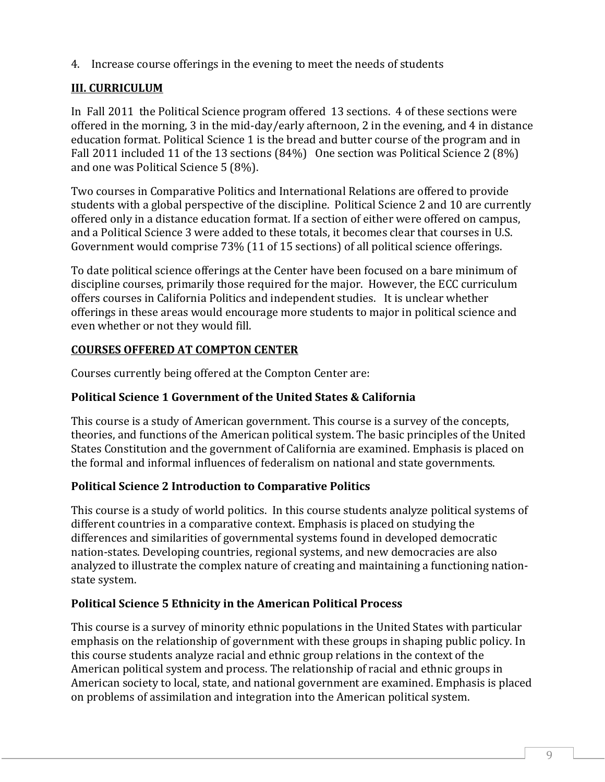4. Increase course offerings in the evening to meet the needs of students

# **III. CURRICULUM**

In Fall 2011 the Political Science program offered 13 sections. 4 of these sections were offered in the morning, 3 in the mid-day/early afternoon, 2 in the evening, and 4 in distance education format. Political Science 1 is the bread and butter course of the program and in Fall 2011 included 11 of the 13 sections (84%) One section was Political Science 2 (8%) and one was Political Science 5 (8%).

Two courses in Comparative Politics and International Relations are offered to provide students with a global perspective of the discipline. Political Science 2 and 10 are currently offered only in a distance education format. If a section of either were offered on campus, and a Political Science 3 were added to these totals, it becomes clear that courses in U.S. Government would comprise 73% (11 of 15 sections) of all political science offerings.

To date political science offerings at the Center have been focused on a bare minimum of discipline courses, primarily those required for the major. However, the ECC curriculum offers courses in California Politics and independent studies. It is unclear whether offerings in these areas would encourage more students to major in political science and even whether or not they would fill.

## **COURSES OFFERED AT COMPTON CENTER**

Courses currently being offered at the Compton Center are:

## **Political Science 1 Government of the United States & California**

This course is a study of American government. This course is a survey of the concepts, theories, and functions of the American political system. The basic principles of the United States Constitution and the government of California are examined. Emphasis is placed on the formal and informal influences of federalism on national and state governments.

## **Political Science 2 Introduction to Comparative Politics**

This course is a study of world politics. In this course students analyze political systems of different countries in a comparative context. Emphasis is placed on studying the differences and similarities of governmental systems found in developed democratic nation-states. Developing countries, regional systems, and new democracies are also analyzed to illustrate the complex nature of creating and maintaining a functioning nationstate system.

## **Political Science 5 Ethnicity in the American Political Process**

This course is a survey of minority ethnic populations in the United States with particular emphasis on the relationship of government with these groups in shaping public policy. In this course students analyze racial and ethnic group relations in the context of the American political system and process. The relationship of racial and ethnic groups in American society to local, state, and national government are examined. Emphasis is placed on problems of assimilation and integration into the American political system.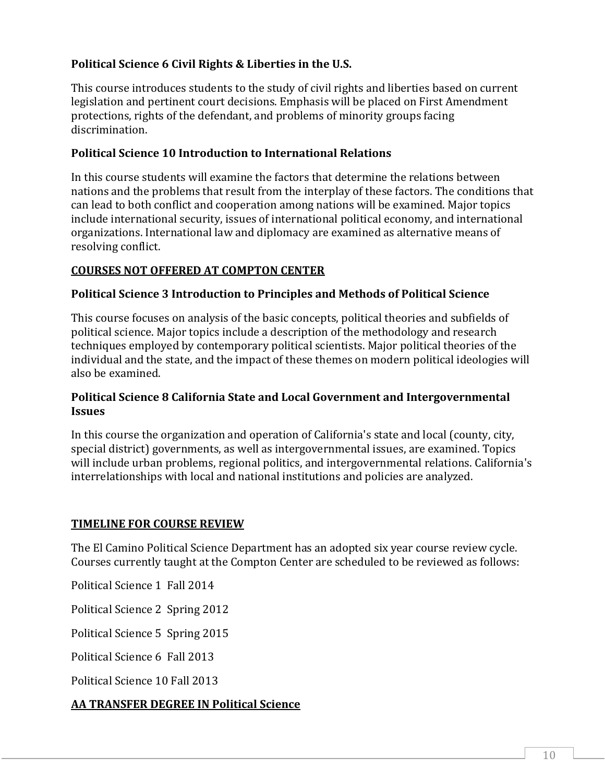## **Political Science 6 Civil Rights & Liberties in the U.S.**

This course introduces students to the study of civil rights and liberties based on current legislation and pertinent court decisions. Emphasis will be placed on First Amendment protections, rights of the defendant, and problems of minority groups facing discrimination.

### **Political Science 10 Introduction to International Relations**

In this course students will examine the factors that determine the relations between nations and the problems that result from the interplay of these factors. The conditions that can lead to both conflict and cooperation among nations will be examined. Major topics include international security, issues of international political economy, and international organizations. International law and diplomacy are examined as alternative means of resolving conflict.

## **COURSES NOT OFFERED AT COMPTON CENTER**

### **Political Science 3 Introduction to Principles and Methods of Political Science**

This course focuses on analysis of the basic concepts, political theories and subfields of political science. Major topics include a description of the methodology and research techniques employed by contemporary political scientists. Major political theories of the individual and the state, and the impact of these themes on modern political ideologies will also be examined.

#### **Political Science 8 California State and Local Government and Intergovernmental Issues**

In this course the organization and operation of California's state and local (county, city, special district) governments, as well as intergovernmental issues, are examined. Topics will include urban problems, regional politics, and intergovernmental relations. California's interrelationships with local and national institutions and policies are analyzed.

#### **TIMELINE FOR COURSE REVIEW**

The El Camino Political Science Department has an adopted six year course review cycle. Courses currently taught at the Compton Center are scheduled to be reviewed as follows:

Political Science 1 Fall 2014

Political Science 2 Spring 2012

Political Science 5 Spring 2015

Political Science 6 Fall 2013

Political Science 10 Fall 2013

## **AA TRANSFER DEGREE IN Political Science**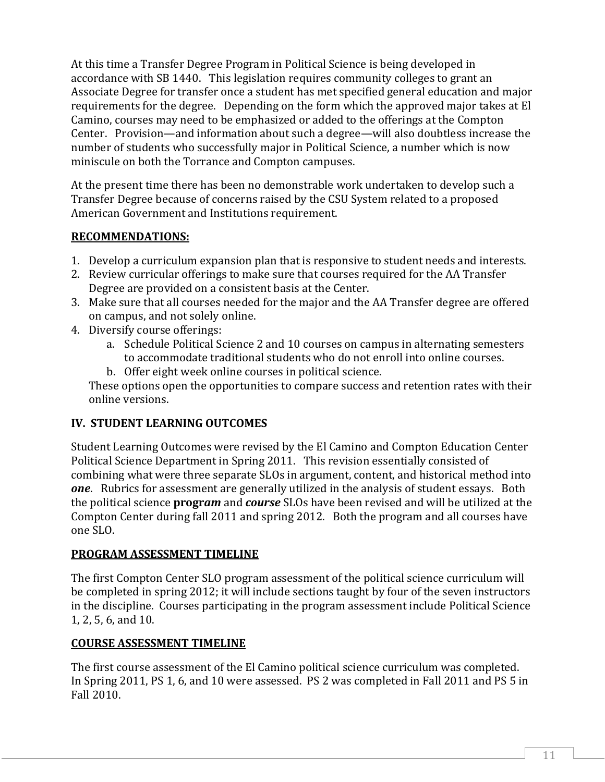At this time a Transfer Degree Program in Political Science is being developed in accordance with SB 1440. This legislation requires community colleges to grant an Associate Degree for transfer once a student has met specified general education and major requirements for the degree. Depending on the form which the approved major takes at El Camino, courses may need to be emphasized or added to the offerings at the Compton Center. Provision—and information about such a degree—will also doubtless increase the number of students who successfully major in Political Science, a number which is now miniscule on both the Torrance and Compton campuses.

At the present time there has been no demonstrable work undertaken to develop such a Transfer Degree because of concerns raised by the CSU System related to a proposed American Government and Institutions requirement.

## **RECOMMENDATIONS:**

- 1. Develop a curriculum expansion plan that is responsive to student needs and interests.
- 2. Review curricular offerings to make sure that courses required for the AA Transfer Degree are provided on a consistent basis at the Center.
- 3. Make sure that all courses needed for the major and the AA Transfer degree are offered on campus, and not solely online.
- 4. Diversify course offerings:
	- a. Schedule Political Science 2 and 10 courses on campus in alternating semesters to accommodate traditional students who do not enroll into online courses.
	- b. Offer eight week online courses in political science.

These options open the opportunities to compare success and retention rates with their online versions.

## **IV. STUDENT LEARNING OUTCOMES**

Student Learning Outcomes were revised by the El Camino and Compton Education Center Political Science Department in Spring 2011. This revision essentially consisted of combining what were three separate SLOs in argument, content, and historical method into *one*. Rubrics for assessment are generally utilized in the analysis of student essays. Both the political science **progr***am* and *course* SLOs have been revised and will be utilized at the Compton Center during fall 2011 and spring 2012. Both the program and all courses have one SLO.

## **PROGRAM ASSESSMENT TIMELINE**

The first Compton Center SLO program assessment of the political science curriculum will be completed in spring 2012; it will include sections taught by four of the seven instructors in the discipline. Courses participating in the program assessment include Political Science 1, 2, 5, 6, and 10.

## **COURSE ASSESSMENT TIMELINE**

The first course assessment of the El Camino political science curriculum was completed. In Spring 2011, PS 1, 6, and 10 were assessed. PS 2 was completed in Fall 2011 and PS 5 in Fall 2010.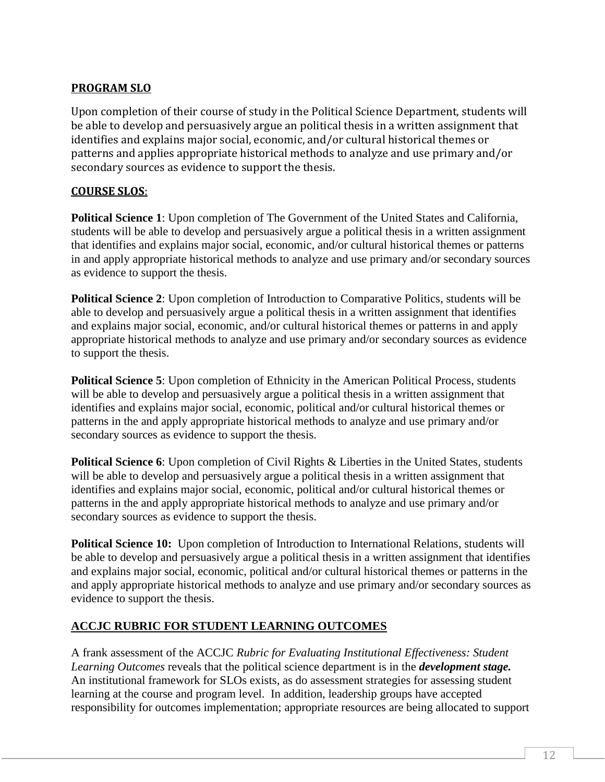## **PROGRAM SLO**

Upon completion of their course of study in the Political Science Department, students will be able to develop and persuasively argue an political thesis in a written assignment that identifies and explains major social, economic, and/or cultural historical themes or patterns and applies appropriate historical methods to analyze and use primary and/or secondary sources as evidence to support the thesis.

### **COURSE SLOS**:

**Political Science 1**: Upon completion of The Government of the United States and California, students will be able to develop and persuasively argue a political thesis in a written assignment that identifies and explains major social, economic, and/or cultural historical themes or patterns in and apply appropriate historical methods to analyze and use primary and/or secondary sources as evidence to support the thesis.

**Political Science 2**: Upon completion of Introduction to Comparative Politics, students will be able to develop and persuasively argue a political thesis in a written assignment that identifies and explains major social, economic, and/or cultural historical themes or patterns in and apply appropriate historical methods to analyze and use primary and/or secondary sources as evidence to support the thesis.

**Political Science 5**: Upon completion of Ethnicity in the American Political Process, students will be able to develop and persuasively argue a political thesis in a written assignment that identifies and explains major social, economic, political and/or cultural historical themes or patterns in the and apply appropriate historical methods to analyze and use primary and/or secondary sources as evidence to support the thesis.

**Political Science 6:** Upon completion of Civil Rights & Liberties in the United States, students will be able to develop and persuasively argue a political thesis in a written assignment that identifies and explains major social, economic, political and/or cultural historical themes or patterns in the and apply appropriate historical methods to analyze and use primary and/or secondary sources as evidence to support the thesis.

**Political Science 10:** Upon completion of Introduction to International Relations, students will be able to develop and persuasively argue a political thesis in a written assignment that identifies and explains major social, economic, political and/or cultural historical themes or patterns in the and apply appropriate historical methods to analyze and use primary and/or secondary sources as evidence to support the thesis.

## **ACCJC RUBRIC FOR STUDENT LEARNING OUTCOMES**

A frank assessment of the ACCJC *Rubric for Evaluating Institutional Effectiveness: Student Learning Outcomes* reveals that the political science department is in the *development stage.* An institutional framework for SLOs exists, as do assessment strategies for assessing student learning at the course and program level. In addition, leadership groups have accepted responsibility for outcomes implementation; appropriate resources are being allocated to support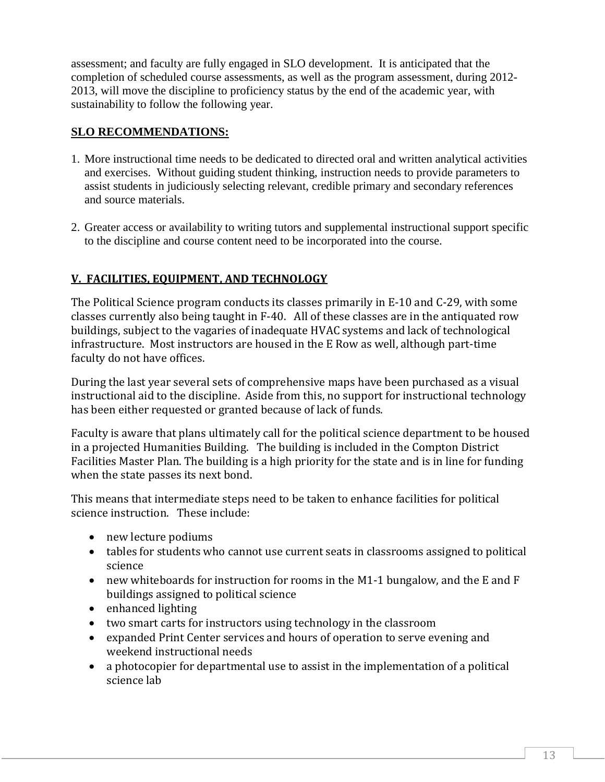assessment; and faculty are fully engaged in SLO development. It is anticipated that the completion of scheduled course assessments, as well as the program assessment, during 2012- 2013, will move the discipline to proficiency status by the end of the academic year, with sustainability to follow the following year.

### **SLO RECOMMENDATIONS:**

- 1. More instructional time needs to be dedicated to directed oral and written analytical activities and exercises. Without guiding student thinking, instruction needs to provide parameters to assist students in judiciously selecting relevant, credible primary and secondary references and source materials.
- 2. Greater access or availability to writing tutors and supplemental instructional support specific to the discipline and course content need to be incorporated into the course.

## **V. FACILITIES, EQUIPMENT, AND TECHNOLOGY**

The Political Science program conducts its classes primarily in E-10 and C-29, with some classes currently also being taught in F-40. All of these classes are in the antiquated row buildings, subject to the vagaries of inadequate HVAC systems and lack of technological infrastructure. Most instructors are housed in the E Row as well, although part-time faculty do not have offices.

During the last year several sets of comprehensive maps have been purchased as a visual instructional aid to the discipline. Aside from this, no support for instructional technology has been either requested or granted because of lack of funds.

Faculty is aware that plans ultimately call for the political science department to be housed in a projected Humanities Building. The building is included in the Compton District Facilities Master Plan. The building is a high priority for the state and is in line for funding when the state passes its next bond.

This means that intermediate steps need to be taken to enhance facilities for political science instruction. These include:

- new lecture podiums
- tables for students who cannot use current seats in classrooms assigned to political science
- new whiteboards for instruction for rooms in the M1-1 bungalow, and the E and F buildings assigned to political science
- enhanced lighting
- two smart carts for instructors using technology in the classroom
- expanded Print Center services and hours of operation to serve evening and weekend instructional needs
- a photocopier for departmental use to assist in the implementation of a political science lab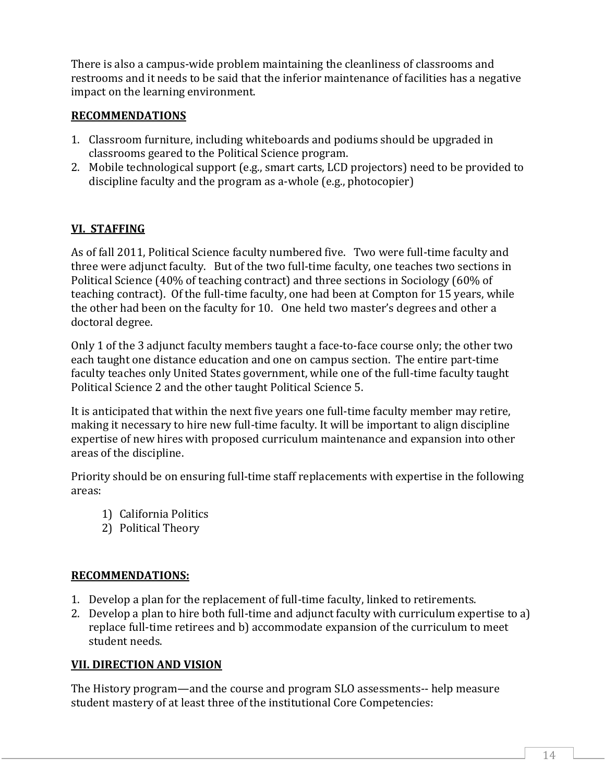There is also a campus-wide problem maintaining the cleanliness of classrooms and restrooms and it needs to be said that the inferior maintenance of facilities has a negative impact on the learning environment.

#### **RECOMMENDATIONS**

- 1. Classroom furniture, including whiteboards and podiums should be upgraded in classrooms geared to the Political Science program.
- 2. Mobile technological support (e.g., smart carts, LCD projectors) need to be provided to discipline faculty and the program as a-whole (e.g., photocopier)

## **VI. STAFFING**

As of fall 2011, Political Science faculty numbered five. Two were full-time faculty and three were adjunct faculty. But of the two full-time faculty, one teaches two sections in Political Science (40% of teaching contract) and three sections in Sociology (60% of teaching contract). Of the full-time faculty, one had been at Compton for 15 years, while the other had been on the faculty for 10. One held two master's degrees and other a doctoral degree.

Only 1 of the 3 adjunct faculty members taught a face-to-face course only; the other two each taught one distance education and one on campus section. The entire part-time faculty teaches only United States government, while one of the full-time faculty taught Political Science 2 and the other taught Political Science 5.

It is anticipated that within the next five years one full-time faculty member may retire, making it necessary to hire new full-time faculty. It will be important to align discipline expertise of new hires with proposed curriculum maintenance and expansion into other areas of the discipline.

Priority should be on ensuring full-time staff replacements with expertise in the following areas:

- 1) California Politics
- 2) Political Theory

## **RECOMMENDATIONS:**

- 1. Develop a plan for the replacement of full-time faculty, linked to retirements.
- 2. Develop a plan to hire both full-time and adjunct faculty with curriculum expertise to a) replace full-time retirees and b) accommodate expansion of the curriculum to meet student needs.

## **VII. DIRECTION AND VISION**

The History program—and the course and program SLO assessments-- help measure student mastery of at least three of the institutional Core Competencies: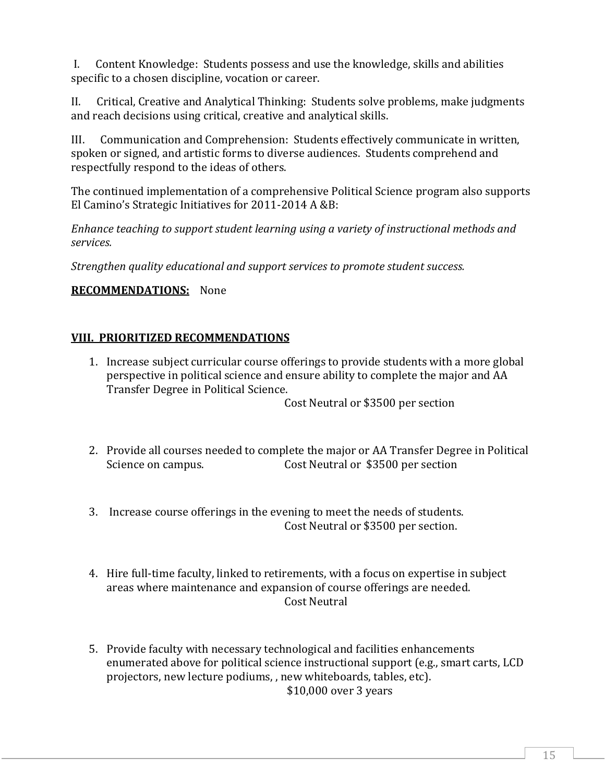I. Content Knowledge: Students possess and use the knowledge, skills and abilities specific to a chosen discipline, vocation or career.

II. Critical, Creative and Analytical Thinking: Students solve problems, make judgments and reach decisions using critical, creative and analytical skills.

III. Communication and Comprehension: Students effectively communicate in written, spoken or signed, and artistic forms to diverse audiences. Students comprehend and respectfully respond to the ideas of others.

The continued implementation of a comprehensive Political Science program also supports El Camino's Strategic Initiatives for 2011-2014 A &B:

*Enhance teaching to support student learning using a variety of instructional methods and services.*

*Strengthen quality educational and support services to promote student success.*

## **RECOMMENDATIONS:** None

### **VIII. PRIORITIZED RECOMMENDATIONS**

1. Increase subject curricular course offerings to provide students with a more global perspective in political science and ensure ability to complete the major and AA Transfer Degree in Political Science.

Cost Neutral or \$3500 per section

- 2. Provide all courses needed to complete the major or AA Transfer Degree in Political Science on campus. Cost Neutral or \$3500 per section
- 3. Increase course offerings in the evening to meet the needs of students. Cost Neutral or \$3500 per section.
- 4. Hire full-time faculty, linked to retirements, with a focus on expertise in subject areas where maintenance and expansion of course offerings are needed. Cost Neutral
- 5. Provide faculty with necessary technological and facilities enhancements enumerated above for political science instructional support (e.g., smart carts, LCD projectors, new lecture podiums, , new whiteboards, tables, etc). \$10,000 over 3 years